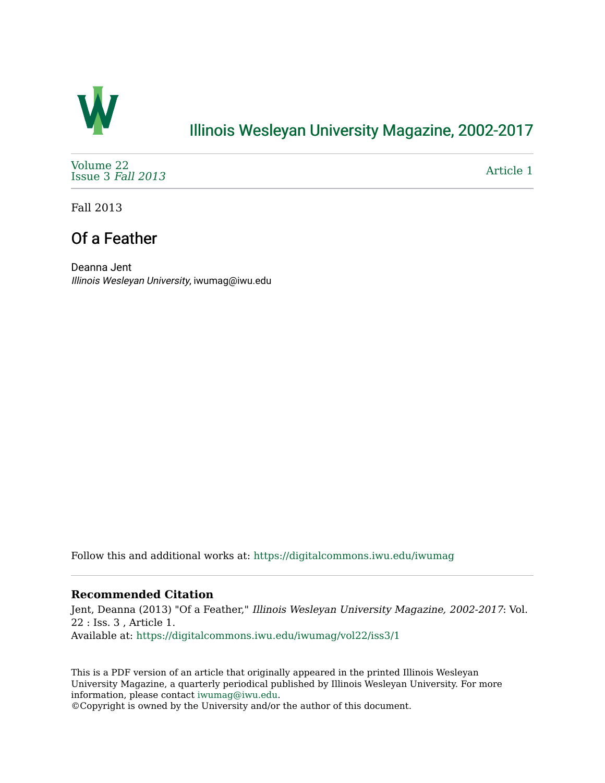

# [Illinois Wesleyan University Magazine, 2002-2017](https://digitalcommons.iwu.edu/iwumag)

[Volume 22](https://digitalcommons.iwu.edu/iwumag/vol22)  [Issue 3](https://digitalcommons.iwu.edu/iwumag/vol22/iss3) Fall 2013

[Article 1](https://digitalcommons.iwu.edu/iwumag/vol22/iss3/1) 

Fall 2013

# Of a Feather

Deanna Jent Illinois Wesleyan University, iwumag@iwu.edu

Follow this and additional works at: [https://digitalcommons.iwu.edu/iwumag](https://digitalcommons.iwu.edu/iwumag?utm_source=digitalcommons.iwu.edu%2Fiwumag%2Fvol22%2Fiss3%2F1&utm_medium=PDF&utm_campaign=PDFCoverPages) 

## **Recommended Citation**

Jent, Deanna (2013) "Of a Feather," Illinois Wesleyan University Magazine, 2002-2017: Vol. 22 : Iss. 3 , Article 1. Available at: [https://digitalcommons.iwu.edu/iwumag/vol22/iss3/1](https://digitalcommons.iwu.edu/iwumag/vol22/iss3/1?utm_source=digitalcommons.iwu.edu%2Fiwumag%2Fvol22%2Fiss3%2F1&utm_medium=PDF&utm_campaign=PDFCoverPages)

This is a PDF version of an article that originally appeared in the printed Illinois Wesleyan University Magazine, a quarterly periodical published by Illinois Wesleyan University. For more information, please contact [iwumag@iwu.edu](mailto:iwumag@iwu.edu).

©Copyright is owned by the University and/or the author of this document.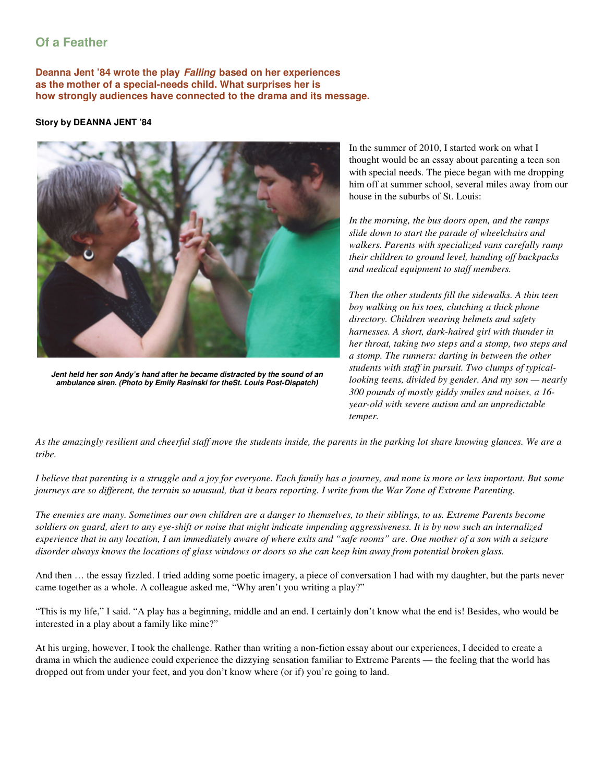# **Of a Feather**

**Deanna Jent '84 wrote the play Falling based on her experiences as the mother of a special-needs child. What surprises her is how strongly audiences have connected to the drama and its message.** 

#### **Story by DEANNA JENT '84**



**Jent held her son Andy's hand after he became distracted by the sound of an ambulance siren. (Photo by Emily Rasinski for theSt. Louis Post-Dispatch)**

In the summer of 2010, I started work on what I thought would be an essay about parenting a teen son with special needs. The piece began with me dropping him off at summer school, several miles away from our house in the suburbs of St. Louis:

*In the morning, the bus doors open, and the ramps slide down to start the parade of wheelchairs and walkers. Parents with specialized vans carefully ramp their children to ground level, handing off backpacks and medical equipment to staff members.*

*Then the other students fill the sidewalks. A thin teen boy walking on his toes, clutching a thick phone directory. Children wearing helmets and safety harnesses. A short, dark-haired girl with thunder in her throat, taking two steps and a stomp, two steps and a stomp. The runners: darting in between the other students with staff in pursuit. Two clumps of typicallooking teens, divided by gender. And my son — nearly 300 pounds of mostly giddy smiles and noises, a 16 year-old with severe autism and an unpredictable temper.* 

*As the amazingly resilient and cheerful staff move the students inside, the parents in the parking lot share knowing glances. We are a tribe.* 

*I believe that parenting is a struggle and a joy for everyone. Each family has a journey, and none is more or less important. But some journeys are so different, the terrain so unusual, that it bears reporting. I write from the War Zone of Extreme Parenting.*

*The enemies are many. Sometimes our own children are a danger to themselves, to their siblings, to us. Extreme Parents become soldiers on guard, alert to any eye-shift or noise that might indicate impending aggressiveness. It is by now such an internalized experience that in any location, I am immediately aware of where exits and "safe rooms" are. One mother of a son with a seizure disorder always knows the locations of glass windows or doors so she can keep him away from potential broken glass.*

And then … the essay fizzled. I tried adding some poetic imagery, a piece of conversation I had with my daughter, but the parts never came together as a whole. A colleague asked me, "Why aren't you writing a play?"

"This is my life," I said. "A play has a beginning, middle and an end. I certainly don't know what the end is! Besides, who would be interested in a play about a family like mine?"

At his urging, however, I took the challenge. Rather than writing a non-fiction essay about our experiences, I decided to create a drama in which the audience could experience the dizzying sensation familiar to Extreme Parents — the feeling that the world has dropped out from under your feet, and you don't know where (or if) you're going to land.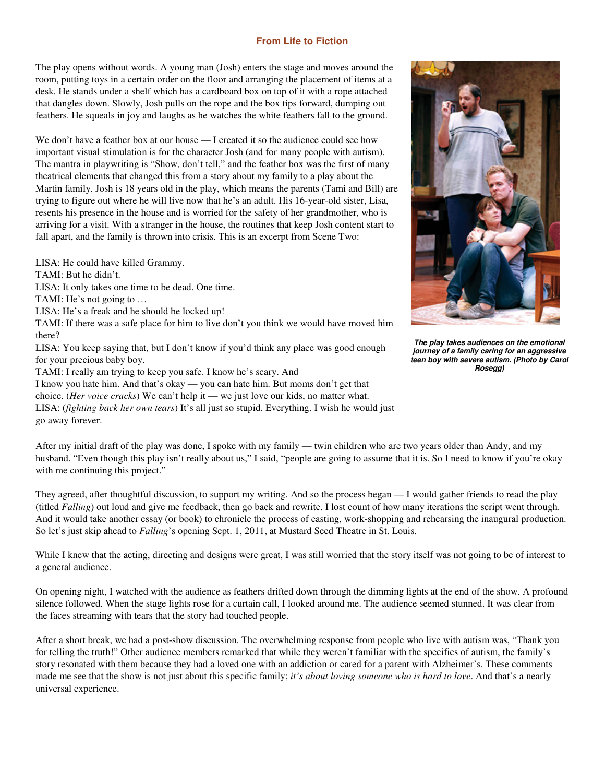### **From Life to Fiction**

The play opens without words. A young man (Josh) enters the stage and moves around the room, putting toys in a certain order on the floor and arranging the placement of items at a desk. He stands under a shelf which has a cardboard box on top of it with a rope attached that dangles down. Slowly, Josh pulls on the rope and the box tips forward, dumping out feathers. He squeals in joy and laughs as he watches the white feathers fall to the ground.

We don't have a feather box at our house — I created it so the audience could see how important visual stimulation is for the character Josh (and for many people with autism). The mantra in playwriting is "Show, don't tell," and the feather box was the first of many theatrical elements that changed this from a story about my family to a play about the Martin family. Josh is 18 years old in the play, which means the parents (Tami and Bill) are trying to figure out where he will live now that he's an adult. His 16-year-old sister, Lisa, resents his presence in the house and is worried for the safety of her grandmother, who is arriving for a visit. With a stranger in the house, the routines that keep Josh content start to fall apart, and the family is thrown into crisis. This is an excerpt from Scene Two:

LISA: He could have killed Grammy.

TAMI: But he didn't.

LISA: It only takes one time to be dead. One time.

TAMI: He's not going to …

LISA: He's a freak and he should be locked up!

TAMI: If there was a safe place for him to live don't you think we would have moved him there?

LISA: You keep saying that, but I don't know if you'd think any place was good enough for your precious baby boy.

TAMI: I really am trying to keep you safe. I know he's scary. And

I know you hate him. And that's okay — you can hate him. But moms don't get that

choice. (*Her voice cracks*) We can't help it — we just love our kids, no matter what.

LISA: (*fighting back her own tears*) It's all just so stupid. Everything. I wish he would just go away forever.



They agreed, after thoughtful discussion, to support my writing. And so the process began — I would gather friends to read the play (titled *Falling*) out loud and give me feedback, then go back and rewrite. I lost count of how many iterations the script went through. And it would take another essay (or book) to chronicle the process of casting, work-shopping and rehearsing the inaugural production. So let's just skip ahead to *Falling*'s opening Sept. 1, 2011, at Mustard Seed Theatre in St. Louis.

While I knew that the acting, directing and designs were great, I was still worried that the story itself was not going to be of interest to a general audience.

On opening night, I watched with the audience as feathers drifted down through the dimming lights at the end of the show. A profound silence followed. When the stage lights rose for a curtain call, I looked around me. The audience seemed stunned. It was clear from the faces streaming with tears that the story had touched people.

After a short break, we had a post-show discussion. The overwhelming response from people who live with autism was, "Thank you for telling the truth!" Other audience members remarked that while they weren't familiar with the specifics of autism, the family's story resonated with them because they had a loved one with an addiction or cared for a parent with Alzheimer's. These comments made me see that the show is not just about this specific family; *it's about loving someone who is hard to love*. And that's a nearly universal experience.



**The play takes audiences on the emotional journey of a family caring for an aggressive teen boy with severe autism. (Photo by Carol Rosegg)**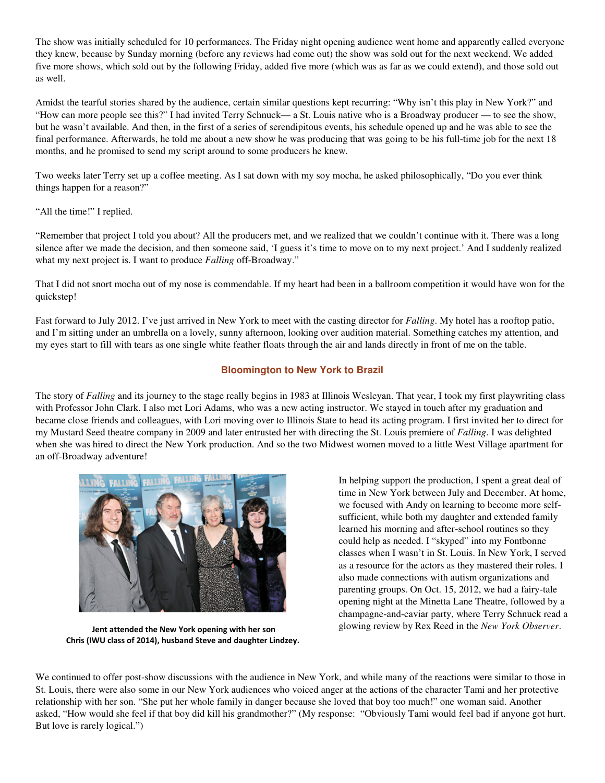The show was initially scheduled for 10 performances. The Friday night opening audience went home and apparently called everyone they knew, because by Sunday morning (before any reviews had come out) the show was sold out for the next weekend. We added five more shows, which sold out by the following Friday, added five more (which was as far as we could extend), and those sold out as well.

Amidst the tearful stories shared by the audience, certain similar questions kept recurring: "Why isn't this play in New York?" and "How can more people see this?" I had invited Terry Schnuck— a St. Louis native who is a Broadway producer — to see the show, but he wasn't available. And then, in the first of a series of serendipitous events, his schedule opened up and he was able to see the final performance. Afterwards, he told me about a new show he was producing that was going to be his full-time job for the next 18 months, and he promised to send my script around to some producers he knew.

Two weeks later Terry set up a coffee meeting. As I sat down with my soy mocha, he asked philosophically, "Do you ever think things happen for a reason?"

"All the time!" I replied.

"Remember that project I told you about? All the producers met, and we realized that we couldn't continue with it. There was a long silence after we made the decision, and then someone said, 'I guess it's time to move on to my next project.' And I suddenly realized what my next project is. I want to produce *Falling* off-Broadway."

That I did not snort mocha out of my nose is commendable. If my heart had been in a ballroom competition it would have won for the quickstep!

Fast forward to July 2012. I've just arrived in New York to meet with the casting director for *Falling*. My hotel has a rooftop patio, and I'm sitting under an umbrella on a lovely, sunny afternoon, looking over audition material. Something catches my attention, and my eyes start to fill with tears as one single white feather floats through the air and lands directly in front of me on the table.

## **Bloomington to New York to Brazil**

The story of *Falling* and its journey to the stage really begins in 1983 at Illinois Wesleyan. That year, I took my first playwriting class with Professor John Clark. I also met Lori Adams, who was a new acting instructor. We stayed in touch after my graduation and became close friends and colleagues, with Lori moving over to Illinois State to head its acting program. I first invited her to direct for my Mustard Seed theatre company in 2009 and later entrusted her with directing the St. Louis premiere of *Falling*. I was delighted when she was hired to direct the New York production. And so the two Midwest women moved to a little West Village apartment for an off-Broadway adventure!



 Jent attended the New York opening with her son Chris (IWU class of 2014), husband Steve and daughter Lindzey.

In helping support the production, I spent a great deal of time in New York between July and December. At home, we focused with Andy on learning to become more selfsufficient, while both my daughter and extended family learned his morning and after-school routines so they could help as needed. I "skyped" into my Fontbonne classes when I wasn't in St. Louis. In New York, I served as a resource for the actors as they mastered their roles. I also made connections with autism organizations and parenting groups. On Oct. 15, 2012, we had a fairy-tale opening night at the Minetta Lane Theatre, followed by a champagne-and-caviar party, where Terry Schnuck read a glowing review by Rex Reed in the *New York Observer*.

We continued to offer post-show discussions with the audience in New York, and while many of the reactions were similar to those in St. Louis, there were also some in our New York audiences who voiced anger at the actions of the character Tami and her protective relationship with her son. "She put her whole family in danger because she loved that boy too much!" one woman said. Another asked, "How would she feel if that boy did kill his grandmother?" (My response: "Obviously Tami would feel bad if anyone got hurt. But love is rarely logical.")